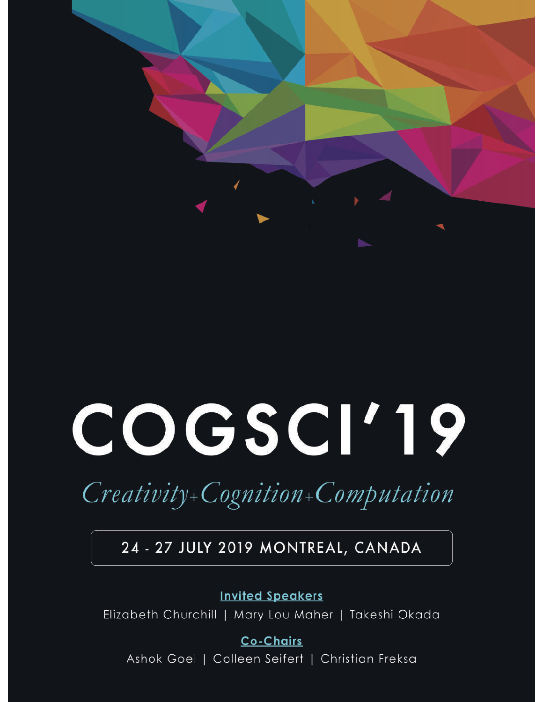# COGSCI'19

## Creativity+Cognition+Computation

### 24 - 27 JULY 2019 MONTREAL, CANADA

**Invited Speakers** 

Elizabeth Churchill | Mary Lou Maher | Takeshi Okada

**Co-Chairs** Ashok Goel | Colleen Seifert | Christian Freksa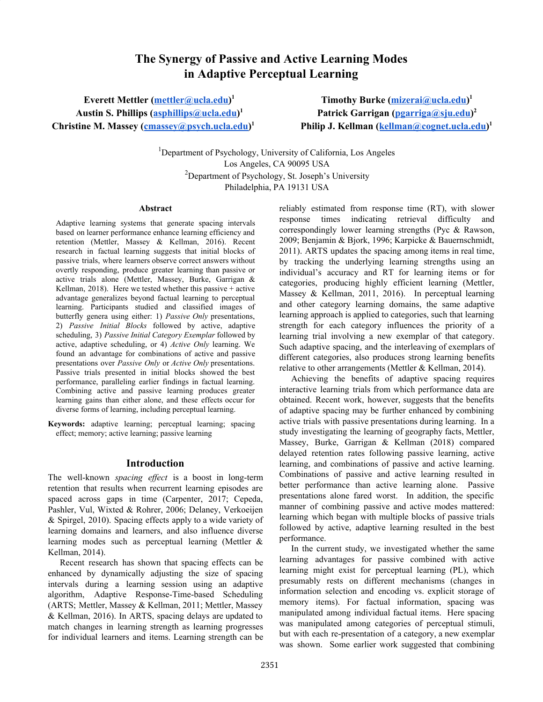#### The Synergy of Passive and Active Learning Modes in Adaptive Perceptual Learning

Everett Mettler (<u>[mettler@ucla.edu](mailto:mettler@ucla.edu)</u>)<sup>1</sup> Austin S. Phillips [\(asphillips@ucla.edu](mailto:asphillips@ucla.edu))<sup>1</sup> Christine M. Massey [\(cmassey@psych.ucla.edu](mailto:cmassey@psych.ucla.edu))<sup>1</sup>

Timothy Burke (<u>mizerai@ucla.edu</u>)<sup>1</sup> Patrick Garrigan ([pgarriga@sju.edu\)](mailto:pgarriga@sju.edu)<sup>2</sup> Philip J. Kellman (<u>[kellman@cognet.ucla.edu](mailto:kellman@cognet.ucla.edu)</u>)<sup>1</sup>

<sup>1</sup>Department of Psychology, University of California, Los Angeles Los Angeles, CA 90095 USA <sup>2</sup>Department of Psychology, St. Joseph's University Philadelphia, PA 19131 USA

#### Abstract

Adaptive learning systems that generate spacing intervals based on learner performance enhance learning efficiency and retention (Mettler, Massey & Kellman, 2016). Recent research in factual learning suggests that initial blocks of passive trials, where learners observe correct answers without overtly responding, produce greater learning than passive or active trials alone (Mettler, Massey, Burke, Garrigan & Kellman, 2018). Here we tested whether this passive + active advantage generalizes beyond factual learning to perceptual learning. Participants studied and classified images of butterfly genera using either: 1) Passive Only presentations, 2) Passive Initial Blocks followed by active, adaptive scheduling, 3) Passive Initial Category Exemplar followed by active, adaptive scheduling, or 4) Active Only learning. We found an advantage for combinations of active and passive presentations over Passive Only or Active Only presentations. Passive trials presented in initial blocks showed the best performance, paralleling earlier findings in factual learning. Combining active and passive learning produces greater learning gains than either alone, and these effects occur for diverse forms of learning, including perceptual learning.

Keywords: adaptive learning; perceptual learning; spacing effect; memory; active learning; passive learning

#### Introduction

The well-known spacing effect is a boost in long-term retention that results when recurrent learning episodes are spaced across gaps in time (Carpenter, 2017; Cepeda, Pashler, Vul, Wixted & Rohrer, 2006; Delaney, Verkoeijen & Spirgel, 2010). Spacing effects apply to a wide variety of learning domains and learners, and also influence diverse learning modes such as perceptual learning (Mettler & Kellman, 2014).

Recent research has shown that spacing effects can be enhanced by dynamically adjusting the size of spacing intervals during a learning session using an adaptive algorithm, Adaptive Response-Time-based Scheduling (ARTS; Mettler, Massey & Kellman, 2011; Mettler, Massey & Kellman, 2016). In ARTS, spacing delays are updated to match changes in learning strength as learning progresses for individual learners and items. Learning strength can be reliably estimated from response time (RT), with slower response times indicating retrieval difficulty and correspondingly lower learning strengths (Pyc & Rawson, 2009; Benjamin & Bjork, 1996; Karpicke & Bauernschmidt, 2011). ARTS updates the spacing among items in real time, by tracking the underlying learning strengths using an individual's accuracy and RT for learning items or for categories, producing highly efficient learning (Mettler, Massey & Kellman, 2011, 2016). In perceptual learning and other category learning domains, the same adaptive learning approach is applied to categories, such that learning strength for each category influences the priority of a learning trial involving a new exemplar of that category. Such adaptive spacing, and the interleaving of exemplars of different categories, also produces strong learning benefits relative to other arrangements (Mettler & Kellman, 2014).

Achieving the benefits of adaptive spacing requires interactive learning trials from which performance data are obtained. Recent work, however, suggests that the benefits of adaptive spacing may be further enhanced by combining active trials with passive presentations during learning. In a study investigating the learning of geography facts, Mettler, Massey, Burke, Garrigan & Kellman (2018) compared delayed retention rates following passive learning, active learning, and combinations of passive and active learning. Combinations of passive and active learning resulted in better performance than active learning alone. Passive presentations alone fared worst. In addition, the specific manner of combining passive and active modes mattered: learning which began with multiple blocks of passive trials followed by active, adaptive learning resulted in the best performance.

In the current study, we investigated whether the same learning advantages for passive combined with active learning might exist for perceptual learning (PL), which presumably rests on different mechanisms (changes in information selection and encoding vs. explicit storage of memory items). For factual information, spacing was manipulated among individual factual items. Here spacing was manipulated among categories of perceptual stimuli, but with each re-presentation of a category, a new exemplar was shown. Some earlier work suggested that combining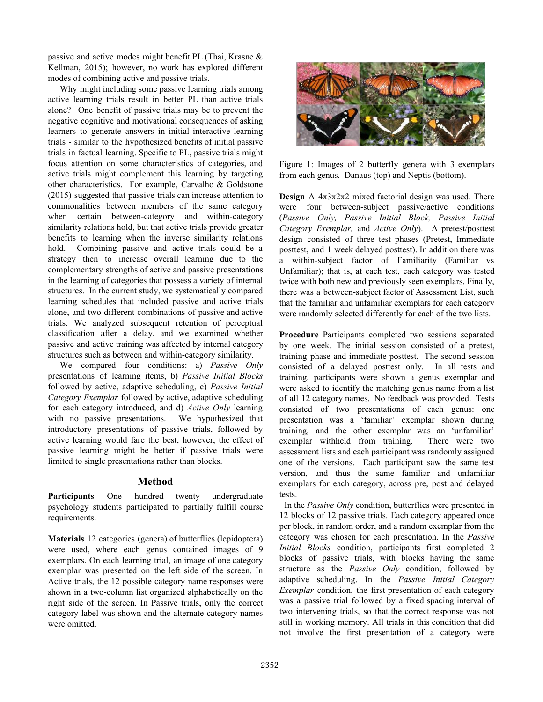passive and active modes might benefit PL (Thai, Krasne & Kellman, 2015); however, no work has explored different modes of combining active and passive trials.

Why might including some passive learning trials among active learning trials result in better PL than active trials alone? One benefit of passive trials may be to prevent the negative cognitive and motivational consequences of asking learners to generate answers in initial interactive learning trials - similar to the hypothesized benefits of initial passive trials in factual learning. Specific to PL, passive trials might focus attention on some characteristics of categories, and active trials might complement this learning by targeting other characteristics. For example, Carvalho & Goldstone (2015) suggested that passive trials can increase attention to commonalities between members of the same category when certain between-category and within-category similarity relations hold, but that active trials provide greater benefits to learning when the inverse similarity relations hold. Combining passive and active trials could be a strategy then to increase overall learning due to the complementary strengths of active and passive presentations in the learning of categories that possess a variety of internal structures. In the current study, we systematically compared learning schedules that included passive and active trials alone, and two different combinations of passive and active trials. We analyzed subsequent retention of perceptual classification after a delay, and we examined whether passive and active training was affected by internal category structures such as between and within-category similarity.

We compared four conditions: a) Passive Only presentations of learning items, b) Passive Initial Blocks followed by active, adaptive scheduling, c) Passive Initial Category Exemplar followed by active, adaptive scheduling for each category introduced, and d) Active Only learning with no passive presentations. We hypothesized that introductory presentations of passive trials, followed by active learning would fare the best, however, the effect of passive learning might be better if passive trials were limited to single presentations rather than blocks.

#### Method

Participants One hundred twenty undergraduate psychology students participated to partially fulfill course requirements.

Materials 12 categories (genera) of butterflies (lepidoptera) were used, where each genus contained images of 9 exemplars. On each learning trial, an image of one category exemplar was presented on the left side of the screen. In Active trials, the 12 possible category name responses were shown in a two-column list organized alphabetically on the right side of the screen. In Passive trials, only the correct category label was shown and the alternate category names were omitted.



Figure 1: Images of 2 butterfly genera with 3 exemplars from each genus. Danaus (top) and Neptis (bottom).

Design A 4x3x2x2 mixed factorial design was used. There were four between-subject passive/active conditions (Passive Only, Passive Initial Block, Passive Initial Category Exemplar, and Active Only). A pretest/posttest design consisted of three test phases (Pretest, Immediate posttest, and 1 week delayed posttest). In addition there was a within-subject factor of Familiarity (Familiar vs Unfamiliar); that is, at each test, each category was tested twice with both new and previously seen exemplars. Finally, there was a between-subject factor of Assessment List, such that the familiar and unfamiliar exemplars for each category were randomly selected differently for each of the two lists.

Procedure Participants completed two sessions separated by one week. The initial session consisted of a pretest, training phase and immediate posttest. The second session consisted of a delayed posttest only. In all tests and training, participants were shown a genus exemplar and were asked to identify the matching genus name from a list of all 12 category names. No feedback was provided. Tests consisted of two presentations of each genus: one presentation was a 'familiar' exemplar shown during training, and the other exemplar was an 'unfamiliar' exemplar withheld from training. There were two assessment lists and each participant was randomly assigned one of the versions. Each participant saw the same test version, and thus the same familiar and unfamiliar exemplars for each category, across pre, post and delayed tests.

In the Passive Only condition, butterflies were presented in 12 blocks of 12 passive trials. Each category appeared once per block, in random order, and a random exemplar from the category was chosen for each presentation. In the Passive Initial Blocks condition, participants first completed 2 blocks of passive trials, with blocks having the same structure as the *Passive Only* condition, followed by adaptive scheduling. In the Passive Initial Category Exemplar condition, the first presentation of each category was a passive trial followed by a fixed spacing interval of two intervening trials, so that the correct response was not still in working memory. All trials in this condition that did not involve the first presentation of a category were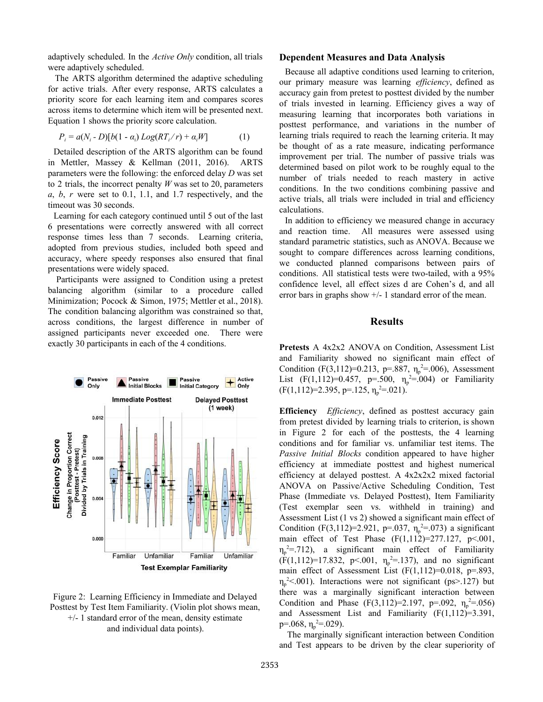adaptively scheduled. In the Active Only condition, all trials were adaptively scheduled.

The ARTS algorithm determined the adaptive scheduling for active trials. After every response, ARTS calculates a priority score for each learning item and compares scores across items to determine which item will be presented next. Equation 1 shows the priority score calculation.

$$
P_i = a(N_i - D)[b(1 - \alpha_i) Log(RT_i/r) + \alpha_i W]
$$
 (1)

Detailed description of the ARTS algorithm can be found in Mettler, Massey & Kellman (2011, 2016). ARTS parameters were the following: the enforced delay D was set to 2 trials, the incorrect penalty  $W$  was set to 20, parameters  $a, b, r$  were set to 0.1, 1.1, and 1.7 respectively, and the timeout was 30 seconds.

Learning for each category continued until 5 out of the last 6 presentations were correctly answered with all correct response times less than 7 seconds. Learning criteria, adopted from previous studies, included both speed and accuracy, where speedy responses also ensured that final presentations were widely spaced.

Participants were assigned to Condition using a pretest balancing algorithm (similar to a procedure called Minimization; Pocock & Simon, 1975; Mettler et al., 2018). The condition balancing algorithm was constrained so that, across conditions, the largest difference in number of assigned participants never exceeded one. There were exactly 30 participants in each of the 4 conditions.



Figure 2: Learning Efficiency in Immediate and Delayed Posttest by Test Item Familiarity. (Violin plot shows mean,  $+/- 1$  standard error of the mean, density estimate and individual data points).

#### Dependent Measures and Data Analysis

Because all adaptive conditions used learning to criterion, our primary measure was learning *efficiency*, defined as accuracy gain from pretest to posttest divided by the number of trials invested in learning. Efficiency gives a way of measuring learning that incorporates both variations in posttest performance, and variations in the number of learning trials required to reach the learning criteria. It may be thought of as a rate measure, indicating performance improvement per trial. The number of passive trials was determined based on pilot work to be roughly equal to the number of trials needed to reach mastery in active conditions. In the two conditions combining passive and active trials, all trials were included in trial and efficiency calculations.

In addition to efficiency we measured change in accuracy and reaction time. All measures were assessed using standard parametric statistics, such as ANOVA. Because we sought to compare differences across learning conditions, we conducted planned comparisons between pairs of conditions. All statistical tests were two-tailed, with a 95% confidence level, all effect sizes d are Cohen's d, and all error bars in graphs show  $+/-1$  standard error of the mean.

#### Results

Pretests A 4x2x2 ANOVA on Condition, Assessment List and Familiarity showed no significant main effect of Condition (F(3,112)=0.213, p=.887,  $\eta_p^2 = 0.06$ ), Assessment List  $(F(1,112)=0.457, p=.500, \eta_p^2=.004)$  or Familiarity  $(F(1,112)=2.395, p=.125, \eta_p^2=.021).$ 

Efficiency *Efficiency*, defined as posttest accuracy gain from pretest divided by learning trials to criterion, is shown in Figure 2 for each of the posttests, the 4 learning conditions and for familiar vs. unfamiliar test items. The Passive Initial Blocks condition appeared to have higher efficiency at immediate posttest and highest numerical efficiency at delayed posttest. A 4x2x2x2 mixed factorial ANOVA on Passive/Active Scheduling Condition, Test Phase (Immediate vs. Delayed Posttest), Item Familiarity (Test exemplar seen vs. withheld in training) and Assessment List (1 vs 2) showed a significant main effect of Condition (F(3,112)=2.921, p=.037,  $\eta_p^2 = 0.073$ ) a significant main effect of Test Phase  $(F(1,112)=277.127, p<.001,$  $\eta_p^2$  = 712), a significant main effect of Familiarity  $(F(1,112)=17.832, p<.001, \eta_p^2=137)$ , and no significant main effect of Assessment List  $(F(1,112)=0.018, p=.893,$  $\eta_p^2$  <.001). Interactions were not significant (ps>.127) but there was a marginally significant interaction between Condition and Phase  $(F(3,112)=2.197, p=.092, \eta_p^2=.056)$ and Assessment List and Familiarity  $(F(1,112)=3.391)$ , p=.068,  $\eta_p^2 = 0.029$ ).

The marginally significant interaction between Condition and Test appears to be driven by the clear superiority of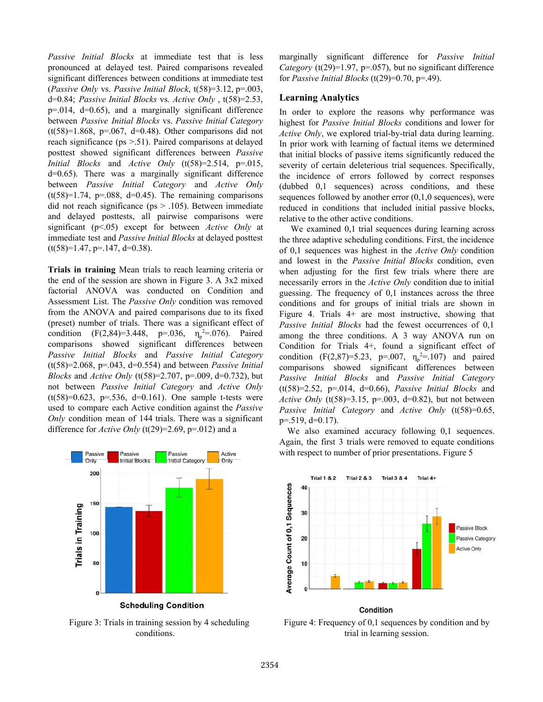Passive Initial Blocks at immediate test that is less pronounced at delayed test. Paired comparisons revealed significant differences between conditions at immediate test (Passive Only vs. Passive Initial Block,  $t(58)=3.12$ ,  $p=.003$ , d=0.84; Passive Initial Blocks vs. Active Only,  $t(58)=2.53$ ,  $p=0.014$ ,  $d=0.65$ ), and a marginally significant difference between Passive Initial Blocks vs. Passive Initial Category  $(t(58)=1.868, p=.067, d=0.48)$ . Other comparisons did not reach significance (ps >.51). Paired comparisons at delayed posttest showed significant differences between Passive *Initial Blocks* and *Active Only* (t(58)=2.514, p=.015, d=0.65). There was a marginally significant difference between Passive Initial Category and Active Only  $(t(58)=1.74, p=.088, d=0.45)$ . The remaining comparisons did not reach significance (ps > .105). Between immediate and delayed posttests, all pairwise comparisons were significant ( $p<05$ ) except for between Active Only at immediate test and Passive Initial Blocks at delayed posttest  $(t(58)=1.47, p=.147, d=0.38).$ 

Trials in training Mean trials to reach learning criteria or the end of the session are shown in Figure 3. A 3x2 mixed factorial ANOVA was conducted on Condition and Assessment List. The Passive Only condition was removed from the ANOVA and paired comparisons due to its fixed (preset) number of trials. There was a significant effect of condition  $(F(2, 84)=3.448, p=.036, \eta_p^2=.076)$ . Paired comparisons showed significant differences between Passive Initial Blocks and Passive Initial Category  $(t(58)=2.068, p=.043, d=0.554)$  and between *Passive Initial Blocks* and *Active Only* (t(58)=2.707, p=.009, d=0.732), but not between Passive Initial Category and Active Only  $(t(58)=0.623, p=.536, d=0.161)$ . One sample t-tests were used to compare each Active condition against the Passive Only condition mean of 144 trials. There was a significant difference for *Active Only* (t(29)=2.69, p=.012) and a



Figure 3: Trials in training session by 4 scheduling conditions.

marginally significant difference for Passive Initial Category (t(29)=1.97, p=.057), but no significant difference for *Passive Initial Blocks* (t(29)=0.70, p=.49).

#### Learning Analytics

In order to explore the reasons why performance was highest for Passive Initial Blocks conditions and lower for Active Only, we explored trial-by-trial data during learning. In prior work with learning of factual items we determined that initial blocks of passive items significantly reduced the severity of certain deleterious trial sequences. Specifically, the incidence of errors followed by correct responses (dubbed 0,1 sequences) across conditions, and these sequences followed by another error  $(0,1,0)$  sequences), were reduced in conditions that included initial passive blocks, relative to the other active conditions.

We examined 0,1 trial sequences during learning across the three adaptive scheduling conditions. First, the incidence of 0,1 sequences was highest in the Active Only condition and lowest in the Passive Initial Blocks condition, even when adjusting for the first few trials where there are necessarily errors in the *Active Only* condition due to initial guessing. The frequency of 0,1 instances across the three conditions and for groups of initial trials are shown in Figure 4. Trials 4+ are most instructive, showing that Passive Initial Blocks had the fewest occurrences of 0,1 among the three conditions. A 3 way ANOVA run on Condition for Trials 4+, found a significant effect of condition (F(2,87)=5.23, p=.007,  $\eta_p^2 = 107$ ) and paired comparisons showed significant differences between Passive Initial Blocks and Passive Initial Category  $(t(58)=2.52, p=.014, d=0.66)$ , *Passive Initial Blocks* and Active Only (t(58)=3.15, p=.003, d=0.82), but not between Passive Initial Category and Active Only (t(58)=0.65,  $p=.519$ ,  $d=0.17$ ).

We also examined accuracy following 0,1 sequences. Again, the first 3 trials were removed to equate conditions with respect to number of prior presentations. Figure 5



Figure 4: Frequency of 0,1 sequences by condition and by trial in learning session.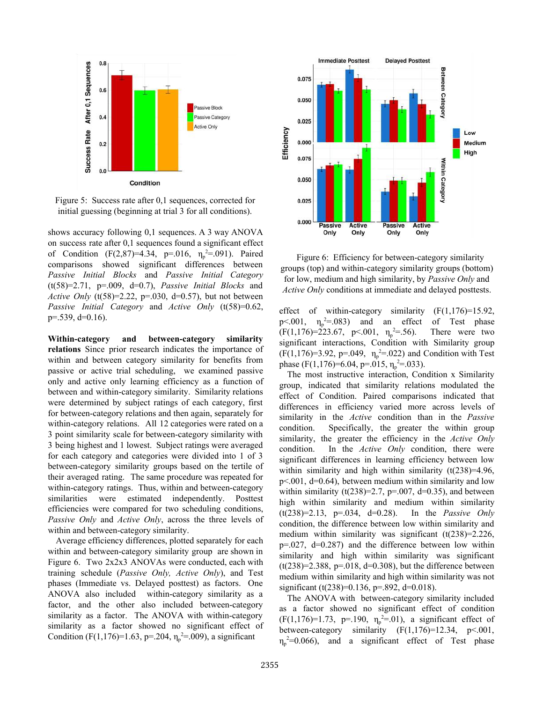

Figure 5: Success rate after 0,1 sequences, corrected for initial guessing (beginning at trial 3 for all conditions).

shows accuracy following 0,1 sequences. A 3 way ANOVA on success rate after 0,1 sequences found a significant effect of Condition (F(2,87)=4.34, p=.016,  $\eta_p^2 = .091$ ). Paired comparisons showed significant differences between Passive Initial Blocks and Passive Initial Category  $(t(58)=2.71, p=.009, d=0.7)$ , *Passive Initial Blocks* and Active Only (t(58)=2.22, p=.030, d=0.57), but not between Passive Initial Category and Active Only (t(58)=0.62, p=.539, d=0.16).

Within-category and between-category similarity relations Since prior research indicates the importance of within and between category similarity for benefits from passive or active trial scheduling, we examined passive only and active only learning efficiency as a function of between and within-category similarity. Similarity relations were determined by subject ratings of each category, first for between-category relations and then again, separately for within-category relations. All 12 categories were rated on a 3 point similarity scale for between-category similarity with 3 being highest and 1 lowest. Subject ratings were averaged for each category and categories were divided into 1 of 3 between-category similarity groups based on the tertile of their averaged rating. The same procedure was repeated for within-category ratings. Thus, within and between-category similarities were estimated independently. Posttest efficiencies were compared for two scheduling conditions, Passive Only and Active Only, across the three levels of within and between-category similarity.

Average efficiency differences, plotted separately for each within and between-category similarity group are shown in Figure 6. Two 2x2x3 ANOVAs were conducted, each with training schedule (Passive Only, Active Only), and Test phases (Immediate vs. Delayed posttest) as factors. One ANOVA also included within-category similarity as a factor, and the other also included between-category similarity as a factor. The ANOVA with within-category similarity as a factor showed no significant effect of Condition (F(1,176)=1.63, p=.204,  $\eta_p^2$ =.009), a significant



Figure 6: Efficiency for between-category similarity groups (top) and within-category similarity groups (bottom) for low, medium and high similarity, by Passive Only and Active Only conditions at immediate and delayed posttests.

effect of within-category similarity  $(F(1,176)=15.92)$ , p < 001,  $\eta_p^2 = 0.083$  and an effect of Test phase  $(F(1,176)=223.67, p<.001, \eta_p^2)$ There were two significant interactions, Condition with Similarity group  $(F(1, 176)=3.92, p=.049, \eta_p^2=.022)$  and Condition with Test phase (F(1,176)=6.04, p=.015,  $\eta_p^2$ =.033).

The most instructive interaction, Condition x Similarity group, indicated that similarity relations modulated the effect of Condition. Paired comparisons indicated that differences in efficiency varied more across levels of similarity in the Active condition than in the Passive condition. Specifically, the greater the within group similarity, the greater the efficiency in the Active Only condition. In the *Active Only* condition, there were significant differences in learning efficiency between low within similarity and high within similarity  $(t(238)=4.96)$ ,  $p<.001$ ,  $d=0.64$ ), between medium within similarity and low within similarity (t(238)=2.7, p=.007, d=0.35), and between high within similarity and medium within similarity  $(t(238)=2.13, p=.034, d=0.28)$ . In the *Passive Only* condition, the difference between low within similarity and medium within similarity was significant  $(t(238)=2.226$ ,  $p=0.027$ ,  $d=0.287$ ) and the difference between low within similarity and high within similarity was significant  $(t(238)=2.388, p=.018, d=0.308)$ , but the difference between medium within similarity and high within similarity was not significant (t(238)=0.136, p=.892, d=0.018).

The ANOVA with between-category similarity included as a factor showed no significant effect of condition  $(F(1, 176)=1.73, p=.190, \eta_p^2=.01)$ , a significant effect of between-category similarity  $(F(1,176)=12.34, p<.001,$  $\eta_p^2$ =0.066), and a significant effect of Test phase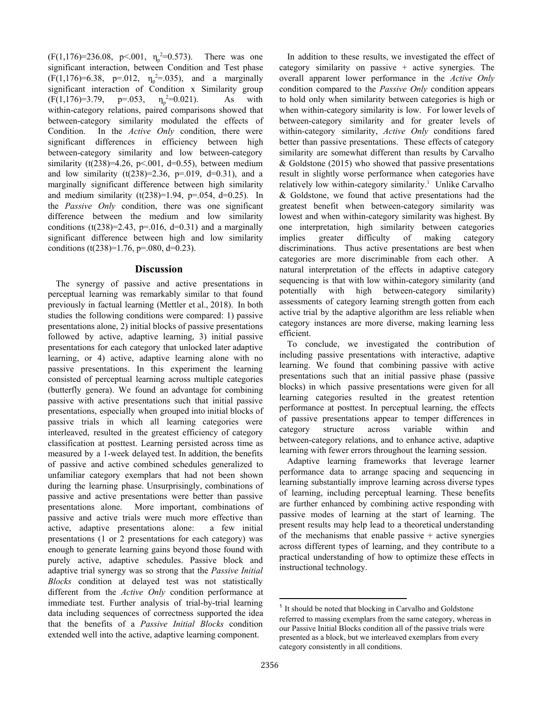$(F(1, 176)=236.08, p<.001, \eta_p^2=0.573)$ . There was one significant interaction, between Condition and Test phase  $(F(1, 176)=6.38, p=.012, \eta_p^2=.035)$ , and a marginally significant interaction of Condition x Similarity group  $(F(1,176)=3.79, p=.053,$  $2=0.021$ ). As with within-category relations, paired comparisons showed that between-category similarity modulated the effects of Condition. In the Active Only condition, there were significant differences in efficiency between high between-category similarity and low between-category similarity (t(238)=4.26, p<.001, d=0.55), between medium and low similarity  $(t(238)=2.36, p=.019, d=0.31)$ , and a marginally significant difference between high similarity and medium similarity  $(t(238)=1.94, p=.054, d=0.25)$ . In the Passive Only condition, there was one significant difference between the medium and low similarity conditions (t(238)=2.43, p=.016, d=0.31) and a marginally significant difference between high and low similarity conditions (t(238)=1.76, p=.080, d=0.23).

#### Discussion

The synergy of passive and active presentations in perceptual learning was remarkably similar to that found previously in factual learning (Mettler et al., 2018). In both studies the following conditions were compared: 1) passive presentations alone, 2) initial blocks of passive presentations followed by active, adaptive learning, 3) initial passive presentations for each category that unlocked later adaptive learning, or 4) active, adaptive learning alone with no passive presentations. In this experiment the learning consisted of perceptual learning across multiple categories (butterfly genera). We found an advantage for combining passive with active presentations such that initial passive presentations, especially when grouped into initial blocks of passive trials in which all learning categories were interleaved, resulted in the greatest efficiency of category classification at posttest. Learning persisted across time as measured by a 1-week delayed test. In addition, the benefits of passive and active combined schedules generalized to unfamiliar category exemplars that had not been shown during the learning phase. Unsurprisingly, combinations of passive and active presentations were better than passive presentations alone. More important, combinations of passive and active trials were much more effective than active, adaptive presentations alone: a few initial presentations (1 or 2 presentations for each category) was enough to generate learning gains beyond those found with purely active, adaptive schedules. Passive block and adaptive trial synergy was so strong that the Passive Initial Blocks condition at delayed test was not statistically different from the *Active Only* condition performance at immediate test. Further analysis of trial-by-trial learning data including sequences of correctness supported the idea that the benefits of a Passive Initial Blocks condition extended well into the active, adaptive learning component.

In addition to these results, we investigated the effect of category similarity on passive  $+$  active synergies. The overall apparent lower performance in the Active Only condition compared to the Passive Only condition appears to hold only when similarity between categories is high or when within-category similarity is low. For lower levels of between-category similarity and for greater levels of within-category similarity, Active Only conditions fared better than passive presentations. These effects of category similarity are somewhat different than results by Carvalho & Goldstone (2015) who showed that passive presentations result in slightly worse performance when categories have relatively low within-category similarity.<sup>1</sup> Unlike Carvalho & Goldstone, we found that active presentations had the greatest benefit when between-category similarity was lowest and when within-category similarity was highest. By one interpretation, high similarity between categories implies greater difficulty of making category discriminations. Thus active presentations are best when categories are more discriminable from each other. A natural interpretation of the effects in adaptive category sequencing is that with low within-category similarity (and potentially with high between-category similarity) assessments of category learning strength gotten from each active trial by the adaptive algorithm are less reliable when category instances are more diverse, making learning less efficient.

To conclude, we investigated the contribution of including passive presentations with interactive, adaptive learning. We found that combining passive with active presentations such that an initial passive phase (passive blocks) in which passive presentations were given for all learning categories resulted in the greatest retention performance at posttest. In perceptual learning, the effects of passive presentations appear to temper differences in category structure across variable within and between-category relations, and to enhance active, adaptive learning with fewer errors throughout the learning session.

Adaptive learning frameworks that leverage learner performance data to arrange spacing and sequencing in learning substantially improve learning across diverse types of learning, including perceptual learning. These benefits are further enhanced by combining active responding with passive modes of learning at the start of learning. The present results may help lead to a theoretical understanding of the mechanisms that enable passive  $+$  active synergies across different types of learning, and they contribute to a practical understanding of how to optimize these effects in instructional technology.

<sup>&</sup>lt;sup>1</sup> It should be noted that blocking in Carvalho and Goldstone referred to massing exemplars from the same category, whereas in our Passive Initial Blocks condition all of the passive trials were presented as a block, but we interleaved exemplars from every category consistently in all conditions.